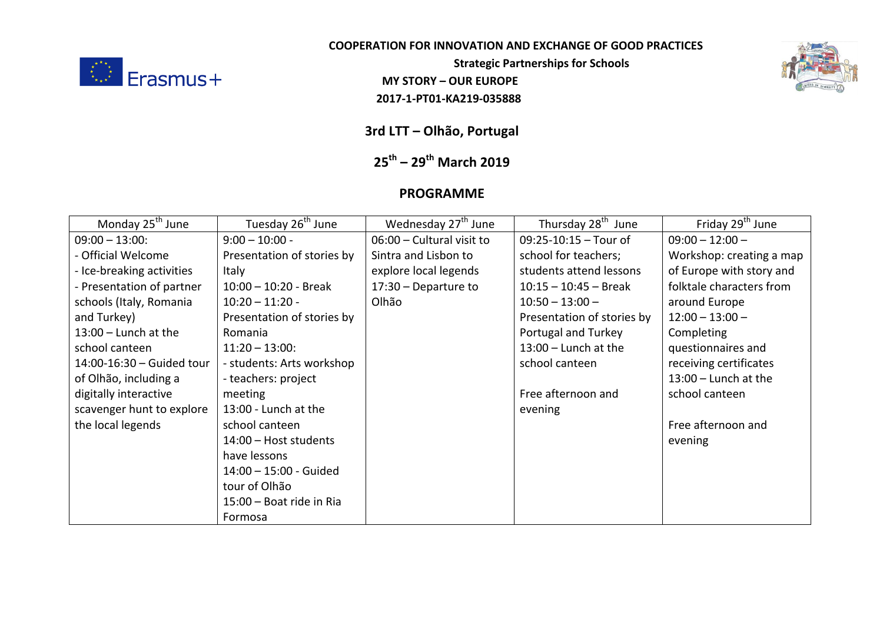

## **COOPERATION FOR INNOVATION AND EXCHANGE OF GOOD PRACTICES**

**Strategic Partnerships for Schools** 

2017-1-PT01-KA219-035888



**3rd LTT – Olhão, Portugal**

## **25th – 29th March 2019**

## **PROGRAMME**

| Monday 25 <sup>th</sup> June | Tuesday 26 <sup>th</sup> June | Wednesday 27 <sup>th</sup> June | Thursday 28 <sup>th</sup> June | Friday 29 <sup>th</sup> June |
|------------------------------|-------------------------------|---------------------------------|--------------------------------|------------------------------|
| $09:00 - 13:00$ :            | $9:00 - 10:00 -$              | 06:00 - Cultural visit to       | $09:25 - 10:15 - Tour of$      | $09:00 - 12:00 -$            |
| - Official Welcome           | Presentation of stories by    | Sintra and Lisbon to            | school for teachers;           | Workshop: creating a map     |
| - Ice-breaking activities    | Italy                         | explore local legends           | students attend lessons        | of Europe with story and     |
| - Presentation of partner    | $10:00 - 10:20$ - Break       | $17:30 - Department to$         | $10:15 - 10:45 - Break$        | folktale characters from     |
| schools (Italy, Romania      | $10:20 - 11:20 -$             | Olhão                           | $10:50 - 13:00 -$              | around Europe                |
| and Turkey)                  | Presentation of stories by    |                                 | Presentation of stories by     | $12:00 - 13:00 -$            |
| $13:00$ – Lunch at the       | Romania                       |                                 | Portugal and Turkey            | Completing                   |
| school canteen               | $11:20 - 13:00$ :             |                                 | $13:00$ – Lunch at the         | questionnaires and           |
| 14:00-16:30 - Guided tour    | - students: Arts workshop     |                                 | school canteen                 | receiving certificates       |
| of Olhão, including a        | - teachers: project           |                                 |                                | $13:00$ - Lunch at the       |
| digitally interactive        | meeting                       |                                 | Free afternoon and             | school canteen               |
| scavenger hunt to explore    | 13:00 - Lunch at the          |                                 | evening                        |                              |
| the local legends            | school canteen                |                                 |                                | Free afternoon and           |
|                              | 14:00 - Host students         |                                 |                                | evening                      |
|                              | have lessons                  |                                 |                                |                              |
|                              | 14:00 - 15:00 - Guided        |                                 |                                |                              |
|                              | tour of Olhão                 |                                 |                                |                              |
|                              | 15:00 - Boat ride in Ria      |                                 |                                |                              |
|                              | Formosa                       |                                 |                                |                              |